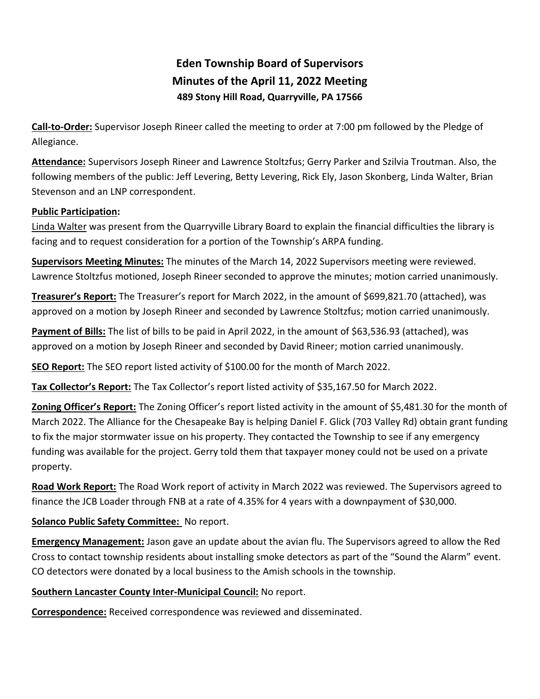# **Eden Township Board of Supervisors Minutes of the April 11, 2022 Meeting 489 Stony Hill Road, Quarryville, PA 17566**

**Call-to-Order:** Supervisor Joseph Rineer called the meeting to order at 7:00 pm followed by the Pledge of Allegiance.

**Attendance:** Supervisors Joseph Rineer and Lawrence Stoltzfus; Gerry Parker and Szilvia Troutman. Also, the following members of the public: Jeff Levering, Betty Levering, Rick Ely, Jason Skonberg, Linda Walter, Brian Stevenson and an LNP correspondent.

#### **Public Participation:**

Linda Walter was present from the Quarryville Library Board to explain the financial difficulties the library is facing and to request consideration for a portion of the Township's ARPA funding.

**Supervisors Meeting Minutes:** The minutes of the March 14, 2022 Supervisors meeting were reviewed. Lawrence Stoltzfus motioned, Joseph Rineer seconded to approve the minutes; motion carried unanimously.

**Treasurer's Report:** The Treasurer's report for March 2022, in the amount of \$699,821.70 (attached), was approved on a motion by Joseph Rineer and seconded by Lawrence Stoltzfus; motion carried unanimously.

**Payment of Bills:** The list of bills to be paid in April 2022, in the amount of \$63,536.93 (attached), was approved on a motion by Joseph Rineer and seconded by David Rineer; motion carried unanimously.

**SEO Report:** The SEO report listed activity of \$100.00 for the month of March 2022.

**Tax Collector's Report:** The Tax Collector's report listed activity of \$35,167.50 for March 2022.

**Zoning Officer's Report:** The Zoning Officer's report listed activity in the amount of \$5,481.30 for the month of March 2022. The Alliance for the Chesapeake Bay is helping Daniel F. Glick (703 Valley Rd) obtain grant funding to fix the major stormwater issue on his property. They contacted the Township to see if any emergency funding was available for the project. Gerry told them that taxpayer money could not be used on a private property.

**Road Work Report:** The Road Work report of activity in March 2022 was reviewed. The Supervisors agreed to finance the JCB Loader through FNB at a rate of 4.35% for 4 years with a downpayment of \$30,000.

## **Solanco Public Safety Committee:** No report.

**Emergency Management:** Jason gave an update about the avian flu. The Supervisors agreed to allow the Red Cross to contact township residents about installing smoke detectors as part of the "Sound the Alarm" event. CO detectors were donated by a local business to the Amish schools in the township.

## **Southern Lancaster County Inter-Municipal Council:** No report.

**Correspondence:** Received correspondence was reviewed and disseminated.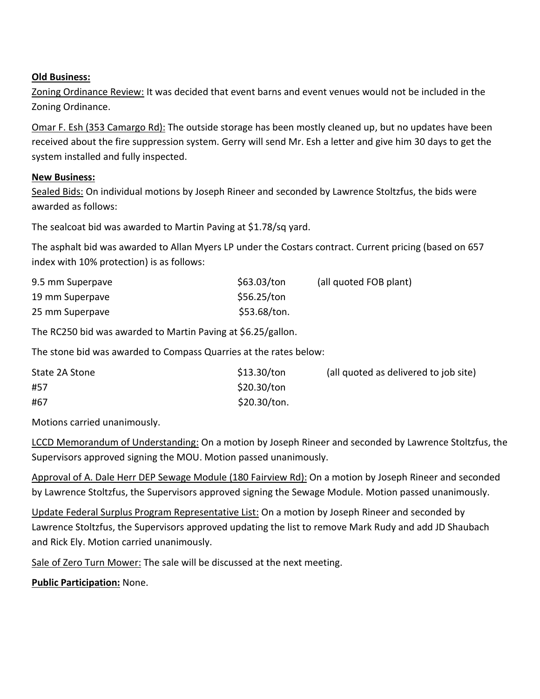#### **Old Business:**

Zoning Ordinance Review: It was decided that event barns and event venues would not be included in the Zoning Ordinance.

Omar F. Esh (353 Camargo Rd): The outside storage has been mostly cleaned up, but no updates have been received about the fire suppression system. Gerry will send Mr. Esh a letter and give him 30 days to get the system installed and fully inspected.

#### **New Business:**

Sealed Bids: On individual motions by Joseph Rineer and seconded by Lawrence Stoltzfus, the bids were awarded as follows:

The sealcoat bid was awarded to Martin Paving at \$1.78/sq yard.

The asphalt bid was awarded to Allan Myers LP under the Costars contract. Current pricing (based on 657 index with 10% protection) is as follows:

| 9.5 mm Superpave | \$63.03/ton  | (all quoted FOB plant) |
|------------------|--------------|------------------------|
| 19 mm Superpave  | \$56.25/ton  |                        |
| 25 mm Superpave  | \$53.68/ton. |                        |

The RC250 bid was awarded to Martin Paving at \$6.25/gallon.

The stone bid was awarded to Compass Quarries at the rates below:

| State 2A Stone | \$13.30/ton  | (all quoted as delivered to job site) |
|----------------|--------------|---------------------------------------|
| #57            | \$20.30/ton  |                                       |
| #67            | \$20.30/ton. |                                       |

Motions carried unanimously.

LCCD Memorandum of Understanding: On a motion by Joseph Rineer and seconded by Lawrence Stoltzfus, the Supervisors approved signing the MOU. Motion passed unanimously.

Approval of A. Dale Herr DEP Sewage Module (180 Fairview Rd): On a motion by Joseph Rineer and seconded by Lawrence Stoltzfus, the Supervisors approved signing the Sewage Module. Motion passed unanimously.

Update Federal Surplus Program Representative List: On a motion by Joseph Rineer and seconded by Lawrence Stoltzfus, the Supervisors approved updating the list to remove Mark Rudy and add JD Shaubach and Rick Ely. Motion carried unanimously.

Sale of Zero Turn Mower: The sale will be discussed at the next meeting.

**Public Participation:** None.